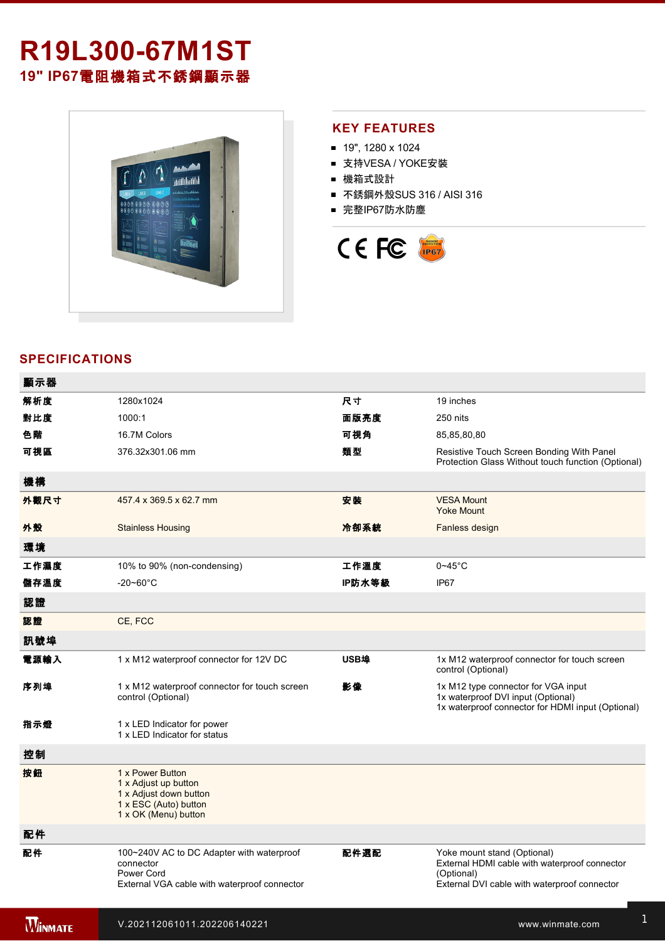# **R19L30067M1ST 19" IP67**電阻機箱式不銹鋼顯示器



### **KEY FEATURES**

- 19", 1280 x 1024
- 支持VESA / YOKE安裝
- 機箱式設計
- 不銹鋼外殼SUS 316 / AISI 316
- 完整IP67防水防塵



## **SPECIFICATIONS**

| 顯示器            |                                                                                                                      |        |                                                                                                                                            |
|----------------|----------------------------------------------------------------------------------------------------------------------|--------|--------------------------------------------------------------------------------------------------------------------------------------------|
| 解析度            | 1280x1024                                                                                                            | 尺寸     | 19 inches                                                                                                                                  |
| 對比度            | 1000:1                                                                                                               | 面版亮度   | 250 nits                                                                                                                                   |
| 色階             | 16.7M Colors                                                                                                         | 可視角    | 85,85,80,80                                                                                                                                |
| 可視區            | 376.32x301.06 mm                                                                                                     | 類型     | Resistive Touch Screen Bonding With Panel<br>Protection Glass Without touch function (Optional)                                            |
| 機構             |                                                                                                                      |        |                                                                                                                                            |
| 外觀尺寸           | 457.4 x 369.5 x 62.7 mm                                                                                              | 安装     | <b>VESA Mount</b><br><b>Yoke Mount</b>                                                                                                     |
| 外殼             | <b>Stainless Housing</b>                                                                                             | 冷卻系統   | Fanless design                                                                                                                             |
| 環境             |                                                                                                                      |        |                                                                                                                                            |
| 工作濕度           | 10% to 90% (non-condensing)                                                                                          | 工作溫度   | $0 - 45$ °C                                                                                                                                |
| 儲存溫度           | $-20 - 60^{\circ}$ C                                                                                                 | IP防水等級 | IP67                                                                                                                                       |
| 認證             |                                                                                                                      |        |                                                                                                                                            |
| 認證             | CE, FCC                                                                                                              |        |                                                                                                                                            |
| 訊號埠            |                                                                                                                      |        |                                                                                                                                            |
| 電源輸入           | 1 x M12 waterproof connector for 12V DC                                                                              | USB埠   | 1x M12 waterproof connector for touch screen<br>control (Optional)                                                                         |
| 序列埠            | 1 x M12 waterproof connector for touch screen<br>control (Optional)                                                  | 影像     | 1x M12 type connector for VGA input<br>1x waterproof DVI input (Optional)<br>1x waterproof connector for HDMI input (Optional)             |
| 指示燈            | 1 x LED Indicator for power<br>1 x LED Indicator for status                                                          |        |                                                                                                                                            |
| 控制             |                                                                                                                      |        |                                                                                                                                            |
| 按鈕             | 1 x Power Button<br>1 x Adjust up button<br>1 x Adjust down button<br>1 x ESC (Auto) button<br>1 x OK (Menu) button  |        |                                                                                                                                            |
| 配件             |                                                                                                                      |        |                                                                                                                                            |
| 配件             | 100~240V AC to DC Adapter with waterproof<br>connector<br>Power Cord<br>External VGA cable with waterproof connector | 配件選配   | Yoke mount stand (Optional)<br>External HDMI cable with waterproof connector<br>(Optional)<br>External DVI cable with waterproof connector |
| <b>WINMATE</b> | V.202112061011.202206140221                                                                                          |        | www.winmate.com                                                                                                                            |

for touchscreen control (Optional)